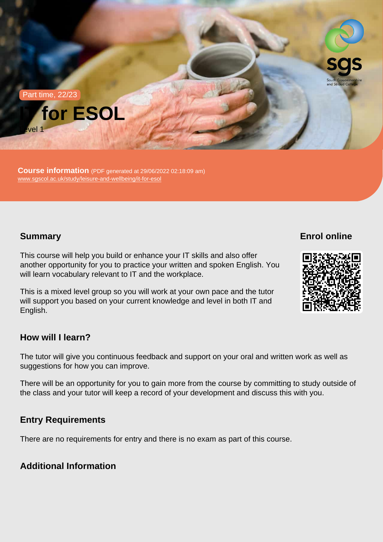Part time, 22/23



Course information (PDF generated at 29/06/2022 02:18:09 am) [www.sgscol.ac.uk/study/leisure-and-wellbeing/it-for-esol](https://www.sgscol.ac.uk/study/leisure-and-wellbeing/it-for-esol)

# **Summary**

Enrol online

This course will help you build or enhance your IT skills and also offer another opportunity for you to practice your written and spoken English. You will learn vocabulary relevant to IT and the workplace.

This is a mixed level group so you will work at your own pace and the tutor will support you based on your current knowledge and level in both IT and English.

How will I learn?

The tutor will give you continuous feedback and support on your oral and written work as well as suggestions for how you can improve.

There will be an opportunity for you to gain more from the course by committing to study outside of the class and your tutor will keep a record of your development and discuss this with you.

# Entry Requirements

There are no requirements for entry and there is no exam as part of this course.

Additional Information